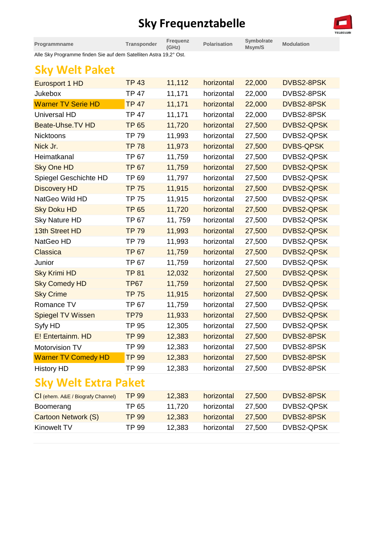## **Sky Frequenztabelle**



| Programmname                                                      | Transponder  | Frequenz<br>(GHz) | <b>Polarisation</b> | Symbolrate<br>Msym/S | <b>Modulation</b> |
|-------------------------------------------------------------------|--------------|-------------------|---------------------|----------------------|-------------------|
| Alle Sky Programme finden Sie auf dem Satelliten Astra 19,2° Ost. |              |                   |                     |                      |                   |
| <b>Sky Welt Paket</b>                                             |              |                   |                     |                      |                   |
| Eurosport 1 HD                                                    | <b>TP 43</b> | 11,112            | horizontal          | 22,000               | DVBS2-8PSK        |
| <b>Jukebox</b>                                                    | <b>TP 47</b> | 11,171            | horizontal          | 22,000               | DVBS2-8PSK        |
| <b>Warner TV Serie HD</b>                                         | <b>TP 47</b> | 11,171            | horizontal          | 22,000               | DVBS2-8PSK        |
| Universal HD                                                      | <b>TP 47</b> | 11,171            | horizontal          | 22,000               | DVBS2-8PSK        |
| <b>Beate-Uhse.TV HD</b>                                           | <b>TP 65</b> | 11,720            | horizontal          | 27,500               | <b>DVBS2-QPSK</b> |
| <b>Nicktoons</b>                                                  | <b>TP 79</b> | 11,993            | horizontal          | 27,500               | DVBS2-QPSK        |
| Nick Jr.                                                          | <b>TP 78</b> | 11,973            | horizontal          | 27,500               | <b>DVBS-QPSK</b>  |
| Heimatkanal                                                       | <b>TP 67</b> | 11,759            | horizontal          | 27,500               | DVBS2-QPSK        |
| <b>Sky One HD</b>                                                 | <b>TP 67</b> | 11,759            | horizontal          | 27,500               | <b>DVBS2-QPSK</b> |
| Spiegel Geschichte HD                                             | TP 69        | 11,797            | horizontal          | 27,500               | DVBS2-QPSK        |
| <b>Discovery HD</b>                                               | <b>TP 75</b> | 11,915            | horizontal          | 27,500               | <b>DVBS2-QPSK</b> |
| NatGeo Wild HD                                                    | <b>TP 75</b> | 11,915            | horizontal          | 27,500               | DVBS2-QPSK        |
| <b>Sky Doku HD</b>                                                | <b>TP 65</b> | 11,720            | horizontal          | 27,500               | <b>DVBS2-QPSK</b> |
| <b>Sky Nature HD</b>                                              | <b>TP 67</b> | 11,759            | horizontal          | 27,500               | DVBS2-QPSK        |
| 13th Street HD                                                    | <b>TP 79</b> | 11,993            | horizontal          | 27,500               | <b>DVBS2-QPSK</b> |
| NatGeo HD                                                         | <b>TP 79</b> | 11,993            | horizontal          | 27,500               | DVBS2-QPSK        |
| Classica                                                          | <b>TP 67</b> | 11,759            | horizontal          | 27,500               | <b>DVBS2-QPSK</b> |
| Junior                                                            | <b>TP 67</b> | 11,759            | horizontal          | 27,500               | DVBS2-QPSK        |
| <b>Sky Krimi HD</b>                                               | <b>TP 81</b> | 12,032            | horizontal          | 27,500               | <b>DVBS2-QPSK</b> |
| <b>Sky Comedy HD</b>                                              | <b>TP67</b>  | 11,759            | horizontal          | 27,500               | <b>DVBS2-QPSK</b> |
| <b>Sky Crime</b>                                                  | <b>TP 75</b> | 11,915            | horizontal          | 27,500               | <b>DVBS2-QPSK</b> |
| Romance TV                                                        | <b>TP 67</b> | 11,759            | horizontal          | 27,500               | DVBS2-QPSK        |
| <b>Spiegel TV Wissen</b>                                          | <b>TP79</b>  | 11,933            | horizontal          | 27,500               | <b>DVBS2-QPSK</b> |

| <b>Sky Welt Extra Paket</b> |              |        |            |        |            |  |  |
|-----------------------------|--------------|--------|------------|--------|------------|--|--|
| <b>History HD</b>           | TP 99        | 12,383 | horizontal | 27,500 | DVBS2-8PSK |  |  |
| <b>Warner TV Comedy HD</b>  | <b>TP 99</b> | 12,383 | horizontal | 27,500 | DVBS2-8PSK |  |  |
| Motorvision TV              | TP 99        | 12,383 | horizontal | 27,500 | DVBS2-8PSK |  |  |
| E! Entertainm. HD           | <b>TP 99</b> | 12,383 | horizontal | 27,500 | DVBS2-8PSK |  |  |

| CI (ehem. A&E / Biografy Channel) | TP 99 | 12,383 | horizontal | 27.500 | DVBS2-8PSK |
|-----------------------------------|-------|--------|------------|--------|------------|
| Boomerang                         | TP 65 | 11.720 | horizontal | 27.500 | DVBS2-QPSK |
| Cartoon Network (S)               | TP 99 | 12,383 | horizontal | 27.500 | DVBS2-8PSK |
| Kinowelt TV                       | TP 99 | 12,383 | horizontal | 27.500 | DVBS2-QPSK |
|                                   |       |        |            |        |            |

Syfy HD TP 95 12,305 horizontal 27,500 DVBS2-QPSK